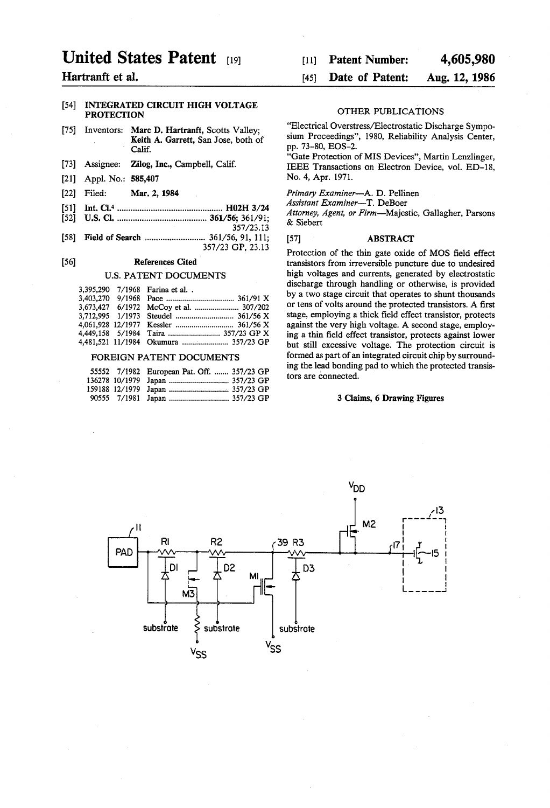# United States Patent [191]

### Hartranft et al.

#### [54] INTEGRATED CIRCUIT HIGH VOLTAGE **PROTECTION**

- [75] Inventors: Marc D. Hartranft, Scotts Valley; Keith A. Garrett, San Jose, both of Calif.
- [73] Assignee: Zilog, Inc., Campbell, Calif.
- [21] Appl. No.: 585,407
- [22] Filed: Mar. 2, 1984
- $[51]$ Int. Cl.' ............................................. .. H02H 3/24
- [52] US. Cl. ...................................... .. 361/56; 361/91;
- [58] 357/23.13 Field of Search ......................... .. 361/56, 91, 111; 357/23 GP, 23.13

#### [56] References Cited

### U.S. PATENT DOCUMENTS

| 4,481,521 11/1984 Okumura  357/23 GP |
|--------------------------------------|
|                                      |

### FOREIGN PATENT DOCUMENTS

|  | 55552 7/1982 European Pat. Off.  357/23 GP |  |
|--|--------------------------------------------|--|
|  |                                            |  |
|  | 159188 12/1979 Japan  357/23 GP            |  |
|  |                                            |  |

#### Patent Number: 4,605,980 [11]

#### Date of Patent: Aug. 12, 1986 [45]

#### OTHER PUBLICATIONS

"Electrical Overstress/Electrostatic Discharge Sympo sium Proceedings", 1980, Reliability Analysis Center, pp. 73-80, EOS-2.

"Gate Protection of M15 Devices", Martin Lenzlinger, IEEE Transactions on Electron Device, vol. ED-18, No. 4, Apr. 1971.

Primary Examiner--- A. D. Pellinen

Assistant Examiner-T. DeBoer

Attorney, Agent, or Firm-Majestic, Gallagher, Parsons & Siebert

#### [s7] ABSTRACI'

Protection of the thin gate oxide of MOS field effect transistors from irreversible puncture due to undesired high voltages and currents, generated by electrostatic discharge through handling or otherwise, is provided by a two stage circuit that operates to shunt thousands or tens of volts around the protected transistors. A first stage, employing a thick field effect transistor, protects against the very high voltage. A second stage, employ ing a thin field effect transistor, protects against lower but still excessive voltage. The protection circuit is formed as part of an integrated circuit chip by surround ing the lead bonding pad to which the protected transis tors are connected.

#### 3 Claims, 6 Drawing Figures

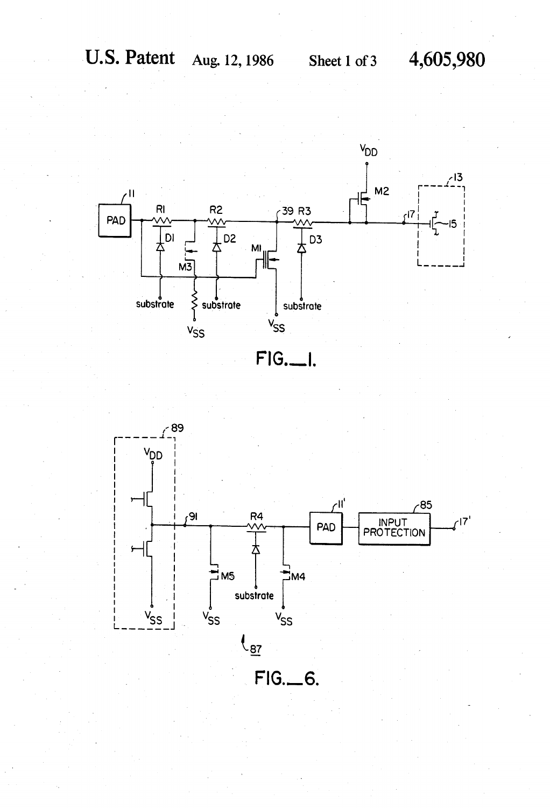

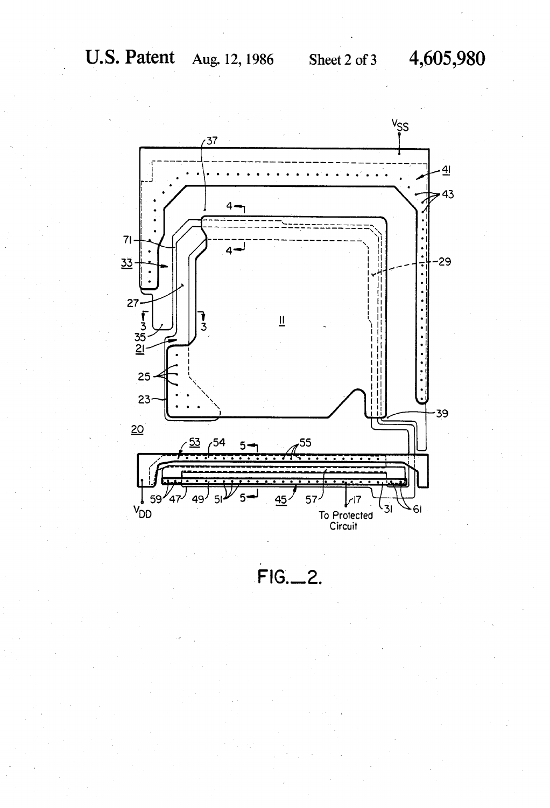

 $FIG. 2.$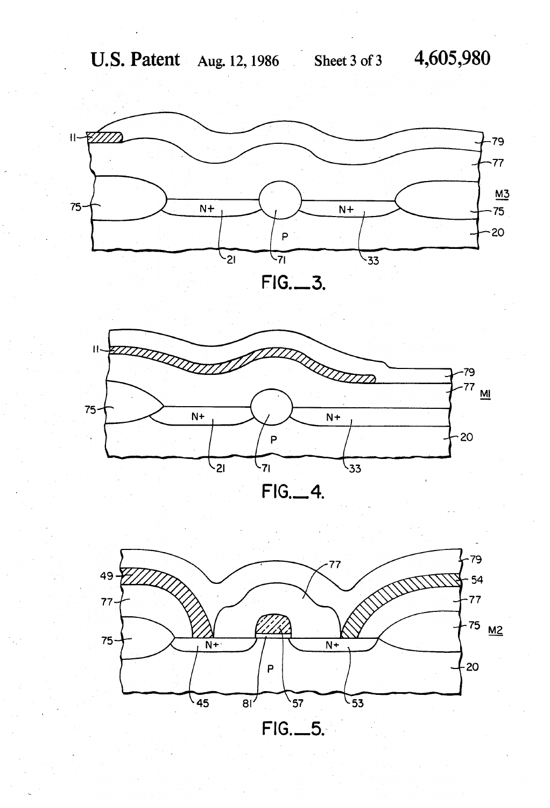



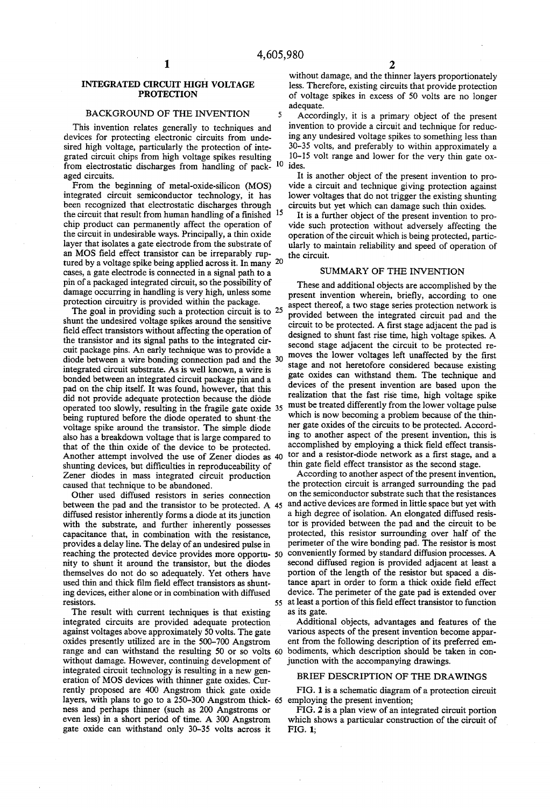5

### INTEGRATED CIRCUIT HIGH VOLTAGE PROTECTION

### BACKGROUND OF THE INVENTION

This invention relates generally to techniques and devices for protecting electronic circuits from unde sired high voltage, particularly the protection of inte grated circuit chips from high voltage spikes resulting from electrostatic discharges from handling of pack- <sup>10</sup> ides. aged circuits.

From the beginning of metal-oxide-silicon (MOS) integrated circuit semiconductor technology, it has been recognized that electrostatic discharges through the circuit that result from human handling of a finished  $15$ chip product can permanently affect the operation of the circuit in undesirable ways. Principally, a thin oxide layer that isolates a gate electrode from the substrate of an MOS field effect transistor can be irreparably ruptured by a voltage spike being applied across it. In many 20 cases, a gate electrode is connected in a signal path to a pin of a packaged integrated circuit, so the possibility of damage occurring in handling is very high, unless some protection circuitry is provided within the package.

The goal in providing such a protection circuit is to <sup>25</sup> shunt the undesired voltage spikes around the sensitive field effect transistors without affecting the operation of the transistor and its signal paths to the integrated cir cuit package pins. An early technique was to provide a diode between a wire bonding connection pad and the 30 integrated circuit substrate. As is well known, a wire is bonded between an integrated circuit package pin and a pad on the chip itself. It was found, however, that this did not provide adequate protection because the diode operated too slowly, resulting in the fragile gate oxide being ruptured before the diode operated to shunt the voltage spike around the transistor. The simple diode also has a breakdown voltage that is large compared to that of the thin oxide of the device to be protected. Another attempt involved the use of Zener diodes as 40 shunting devices, but difficulties in reproduceability of Zener diodes in mass integrated circuit production caused that technique to be abandoned.

Other used diffused resistors in series connection between the pad and the transistor to be protected. A 45 diffused resistor inherently forms a diode at its junction with the substrate, and further inherently possesses capacitance that, in combination with the resistance, provides a delay line. The delay of an undesired pulse in reaching the protected device provides more opportu- 50 nity to shunt it around the transistor, but the diodes themselves do not do so adequately. Yet others have used thin and thick film field effect transistors as shunting devices, either alone or in combination with diffused resistors.

The result with current techniques is that existing integrated circuits are provided adequate protection against voltages above approximately 50 volts. The gate oxides presently utilized are in the 500-700 Angstrom range and can withstand the resulting 50 or so volts 60 without damage. However, continuing development of integrated circuit technology is resulting in a new gen eration of MOS devices with thinner gate oxides. Cur rently proposed are 400 Angstrom thick gate oxide layers, with plans to go to a 250-300 Angstrom thick 65 employing the present invention; ness and perhaps thinner (such as 200 Angstroms or even less) in a short period of time. A 300 Angstrom gate oxide can withstand only 30-35 volts across it

without damage, and the thinner layers proportionately less. Therefore, existing circuits that provide protection of voltage spikes in excess of 50 volts are no longer adequate.

Accordingly, it is a primary object of the present invention to provide a circuit and technique for reduc ing any undesired voltage spikes to something less than 30-35 volts, and preferably to within approximately a 10-15 volt range and lower for the very thin gate ox

It is another object of the present invention to pro vide a circuit and technique giving protection against lower voltages that do not trigger the existing shunting circuits but yet which can damage such thin oxides.

It is a further object of the present invention to pro vide such protection without adversely affecting the operation of the circuit which is being protected, partic ularly to maintain reliability and speed of operation of the circuit.

#### SUMMARY OF THE INVENTION

These and additional objects are accomplished by the present invention wherein, briefly, according to one aspect thereof, a two stage series protection network is provided between the integrated circuit pad and the circuit to be protected. A first stage adjacent the pad is designed to shunt fast rise time, high voltage spikes. A second stage adjacent the circuit to be protected re moves the lower voltages left unaffected by the first stage and not heretofore considered because existing gate oxides can withstand them. The technique and devices of the present invention are based upon the realization that the fast rise time, high voltage spike must be treated differently from the lower voltage pulse which is now becoming a problem because of the thin ner gate oxides of the circuits to be protected. Accord ing to another aspect of the present invention, this is accomplished by employing a thick field effect transistor and a resistor-diode network as a first stage, and a thin gate field effect transistor as the second stage.

55 at least a portion of this field effect transistor to function According to another aspect of the present invention, the protection circuit is arranged surrounding the pad on the semiconductor substrate such that the resistances and active devices are formed in little space but yet with a high degree of isolation. An elongated diffused resis tor is provided between the pad and the circuit to be protected, this resistor surrounding over half of the perimeter of the wire bonding pad. The resistor is most conveniently formed by standard diffusion processes. A second diffused region is provided adjacent at least a portion of the length of the resistor but spaced a dis tance apart in order to form a thick oxide field effect device. The perimeter of the gate pad is extended over as its gate.

Additional objects, advantages and features of the various aspects of the present invention become appar ent from the following description of its preferred em bodiments, which description should be taken in conjunction with the accompanying drawings.

#### BRIEF DESCRIPTION OF THE DRAWINGS

FIG. 1 is a schematic diagram of a protection circuit

FIG. 2 is a plan view of an integrated circuit portion which shows a particular construction of the circuit of FIG. 1;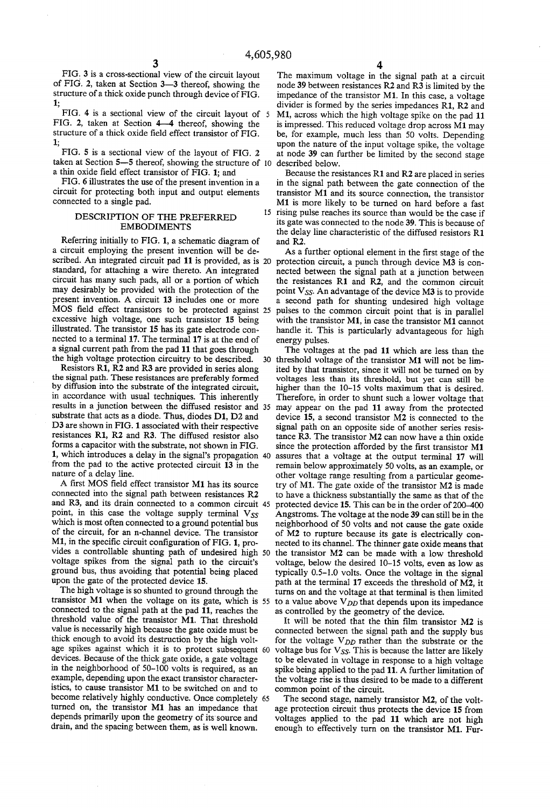FIG. 3 is a cross-sectional view of the circuit layout of FIG. 2, taken at Section 3—3 thereof, showing the structure of a thick oxide punch through device of FIG. 1;

FIG. 4 is a sectional view of the circuit layout of 5 FIG. 2, taken at Section 4-4 thereof, showing the structure of a thick oxide field effect transistor of FIG. 1;

FIG. 5 is a sectional view of the layout of FIG. 2 taken at Section 5-5 thereof, showing the structure of 10 described below. a thin oxide field effect transistor of FIG. 1; and

FIG. 6 illustrates the use of the present invention in a circuit for protecting both input and output elements connected to a single pad.

#### DESCRIPTION OF THE PREFERRED EMBODIMENTS

Referring initially to FIG. 1, a schematic diagram of a circuit employing the present invention will be de scribed. An integrated circuit pad 11 is provided, as is 20 standard, for attaching a wire thereto. An integrated circuit has many such pads, all or a portion of which may desirably be provided with the protection of the present invention. A circuit 13 includes one or more MOS field effect transistors to be protected against 25 excessive high voltage, one such transistor 15 being illustrated. The transistor 15 has its gate electrode con nected to a terminal 17. The terminal 17 is at the end of a signal current path from the pad 11 that goes through the high voltage protection circuitry to be described.

Resistors R1, R2 and R3 are provided in series along the signal path. These resistances are preferably formed by diffusion into the substrate of the integrated circuit, in accordance with usual techniques. This inherently results in a junction between the diffused resistor and 35 substrate that acts as a diode. Thus, diodes D1, D2 and D3 are shown in FIG. 1 associated with their respective resistances R1, R2 and R3. The diffused resistor also forms a capacitor with the substrate, not shown in FIG. 1, which introduces a delay in the signal's propagation 40 from the pad to the active protected circuit 13 in the nature of a delay line.

A first MOS field effect transistor M1 has its source connected into the signal path between resistances R2 and R3, and its drain connected to a common circuit 45 point, in this case the voltage supply terminal  $V_{SS}$ which is most often connected to a ground potential bus of the circuit, for an n-channel device. The transistor M1, in the specific circuit configuration of FIG. 1, provoltage spikes from the signal path to the circuit's ground bus, thus avoiding that potential being placed upon the gate of the protected device 15.

The high voltage is so shunted to ground through the transistor M1 when the voltage on its gate, which is 55 connected to the signal path at the pad 11, reaches the threshold value of the transistor M1. That threshold value is necessarily high because the gate oxide must be thick enough to avoid its destruction by the high volt age spikes against which it is to protect subsequent 60 devices. Because of the thick gate oxide, a gate voltage in the neighborhood of 50-100 volts is required, as an example, depending upon the exact transistor character istics, to cause transistor M1 to be switched on and to become relatively highly conductive. Once completely 65 turned on, the transistor M1 has an impedance that depends primarily upon the geometry of its source and drain, and the spacing between them, as is well known.

The maximum voltage in the signal path at a circuit node 39 between resistances R2 and R3 is limited by the impedance of the transistor M1. In this case, a voltage divider is formed by the series impedances R1, R2 and M1, across which the high voltage spike on the pad 11 is impressed. This reduced voltage drop across M1 may be, for example, much less than 50 volts. Depending upon the nature of the input voltage spike, the voltage at node 39 can further be limited by the second stage

15 rising pulse reaches its source than would be the case if Because the resistances R1 and R2 are placed in series in the signal path between the gate connection of the transistor M1 and its source connection, the transistor M1 is more likely to be turned on hard before a fast its gate was connected to the node 39. This is because of the delay line characteristic of the diffused resistors R1 and R2.

As a further optional element in the first stage of the protection circuit, a punch through device M3 is con nected between the signal path at a junction between the resistances R1 and R2, and the common circuit point  $V_{SS}$ . An advantage of the device M3 is to provide a second path for shunting undesired high voltage pulses to the common circuit point that is in parallel with the transistor M1, in case the transistor M1 cannot handle it. This is particularly advantageous for high energy pulses.

vides a controllable shunting path of undesired high 50 the transistor M2 can be made with a low threshold 30 threshold voltage of the transistor M1 will not be lim The voltages at the pad 11 which are less than the ited by that transistor, since it will not be turned on by voltages less than its threshold, but yet can still be higher than the 10-15 volts maximum that is desired. Therefore, in order to shunt such a lower voltage that may appear on the pad 11 away from the protected device 15, a second transistor M2 is connected to the signal path on an opposite side of another series resis tance R3. The transistor M2 can now have a thin oxide since the protection afforded by the first transistor M1 assures that a voltage at the output terminal 17 will remain below approximately 50 volts, as an example, or other voltage range resulting from a particular geome try of M1. The gate oxide of the transistor M2 is made to have a thickness substantially the same as that of the protected device 15. This can be in the order of 200-400 Angstroms. The voltage at the node 39 can still be in the neighborhood of 50 volts and not cause the gate oxide of M2 to rupture because its gate is electrically con nected to its channel. The thinner gate oxide means that voltage, below the desired 10-15 volts, even as low as typically 0.5-1.0 volts. Once the voltage in the signal path at the terminal 17 exceeds the threshold of M2, it turns on and the voltage at that terminal is then limited to a value above  $V_{DD}$  that depends upon its impedance as controlled by the geometry of the device.

It will be noted that the thin film transistor M2 is connected between the signal path and the supply bus for the voltage  $V_{DD}$  rather than the substrate or the voltage bus for  $V_{SS}$ . This is because the latter are likely to be elevated in voltage in response to a high voltage spike being applied to the pad 11. A further limitation of the voltage rise is thus desired to be made to a different common point of the circuit.

The second stage, namely transistor M2, of the volt age protection circuit thus protects the device 15 from voltages applied to the pad 11 which are not high enough to effectively turn on the transistor M1. Fur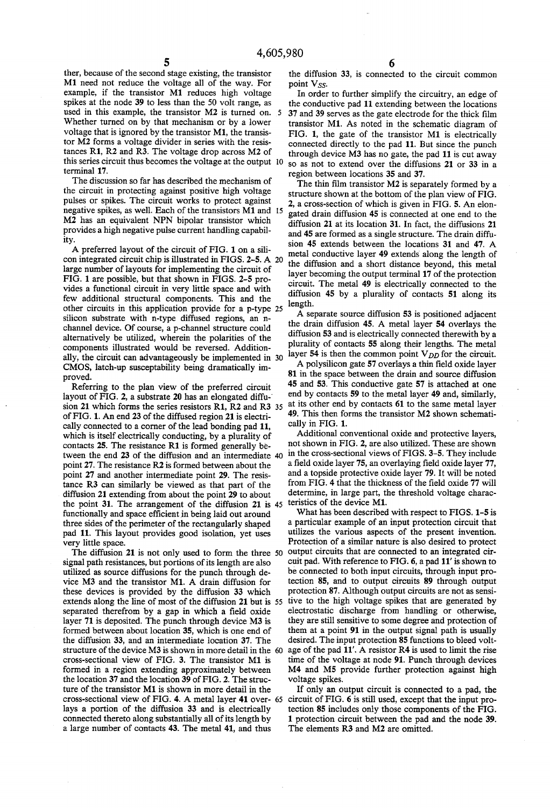ther, because of the second stage existing, the transistor M1 need not reduce the voltage all of the way. For example, if the transistor M1 reduces high voltage spikes at the node 39 to less than the 50 volt range, as used in this example, the transistor M2 is turned on. 5 Whether turned on by that mechanism or by a lower voltage that is ignored by the transistor M1, the transis tor M2 forms a voltage divider in series with the resis tances R1, R2 and R3. The voltage drop across M2 of this series circuit thus becomes the voltage at the output 10 terminal 17.

The discussion so far has described the mechanism of the circuit in protecting against positive high voltage pulses or spikes. The circuit works to protect against negative spikes, as well. Each of the transistors M1 and M2 has an equivalent NPN bipolar transistor which provides a high negative pulse current handling capabil ity.

A preferred layout of the circuit of FIG. 1 on a sili con integrated circuit chip is illustrated in FIGS. 2-5. A 20 large number of layouts for implementing the circuit of FIG. 1 are possible, but that shown in FIGS. 2-5 pro vides a functional circuit in very little space and with few additional structural components. This and the other circuits in this application provide for a p-type 25 silicon substrate with n-type diffused regions, an n channel device. Of course, a p-channel structure could alternatively be utilized, wherein the polarities of the components illustrated would be reversed. Addition ally, the circuit can advantageously be implemented in 30 CMOS, latch-up susceptability being dramatically im proved.

Referring to the plan view of the preferred circuit layout of FIG. 2, a substrate 20 has an elongated diffu-' sion 21 which forms the series resistors R1, R2 and R3 of FIG. 1. An end 23 of the diffused region 21 is electri cally connected to a corner of the lead bonding pad 11, which is itself electrically conducting, by a plurality of contacts 25. The resistance R1 is formed generally be tween the end 23 of the diffusion and an intermediate 40 point 27. The resistance R2 is formed between about the point 27 and another intermediate point 29. The resis tance R3 can similarly be viewed as that part of the diffusion 21 extending from about the point 29 to about the point 31. The arrangement of the diffusion 21 is 45 functionally and space efficient in being laid out around three sides of the perimeter of the rectangularly shaped pad 11. This layout provides good isolation, yet uses very little space.

signal path resistances, but portions of its length are also utilized as source diffusions for the punch through de vice M3 and the transistor M1. A drain diffusion for these devices is provided by the diffusion 33 which extends along the line of most of the diffusion 21 but is 55 separated therefrom by a gap in which a field oxide layer 71 is deposited. The punch through device M3 is formed between about location 35, which is one end of the diffusion 33, and an intermediate location 37. The structure of the device M3 is shown in more detail in the  $60$  age of the pad  $11'$ . A resistor R4 is used to limit the rise cross-sectional view of FIG. 3. The transistor M1 is formed in a region extending approximately between the location 37 and the location 39 of FIG. 2. The struc ture of the transistor M1 is shown in more detail in the cross-sectional view of FIG. 4. A metal layer 41 over- 65 circuit of FIG. 6 is still used, except that the input prolays a portion of the diffusion 33 and is electrically connected thereto along substantially all of its length by a large number of contacts 43. The metal 41, and thus

the diffusion 33, is connected to the circuit common point V<sub>SS</sub>.

In order to further simplify the circuitry, an edge of the conductive pad 11 extending between the locations 37 and 39 serves as the gate electrode for the thick film transistor M1. As noted in the schematic diagram of FIG. 1, the gate of the transistor M1 is electrically connected directly to the pad 11. But since the punch through device M3 has no gate, the pad 11 is cut away so as not to extend over the diffusions 21 or 33 in a region between locations 35 and 37.

The thin film transistor  $M2$  is separately formed by a structure shown at the bottom of the plan view of FIG. 2, a cross-section of which is given in FIG. 5. An elon gated drain diffusion 45 is connected at one end to the diffusion 21 at its location 31. In fact, the diffusions 21 and 45 are formed as a single structure. The drain diffu sion 45 extends between the locations 31 and 47. A metal conductive layer 49 extends along the length of the diffusion and a short distance beyond, this metal layer becoming the output terminal 17 of the protection circuit. The metal 49 is electrically connected to the diffusion 45 by a plurality of contacts 51 along its length.

A separate source diffusion 53 is positioned adjacent the drain diffusion 45. A metal layer 54 overlays the diffusion 53 and is electrically connected therewith by a plurality of contacts 55 along their lengths. The metal layer 54 is then the common point  $V_{DD}$  for the circuit.

A polysilicon gate 57 overlays a thin field oxide layer 81 in the space between the drain and source diffusion 45 and 53. This conductive gate 57 is attached at one end by contacts 59 to the metal layer 49 and, similarly, at its other end by contacts 61 to the same metal layer 49. This then forms the transistor M2 shown schemati cally in FIG. 1.

Additional conventional oxide and protective layers, not shown in FIG. 2, are also utilized. These are shown in the cross-sectional views of FIGS. 3-5. They include a field oxide layer 75, an overlaying field oxide layer 77, and a topside protective oxide layer 79. It will be noted from FIG. 4 that the thickness of the field oxide 77 will determine, in large part, the threshold voltage charac teristics of the device M1.

The diffusion 21 is not only used to form the three 50 output circuits that are connected to an integrated cir-What has been described with respect to FIGS. 1-5 is a particular example of an input protection circuit that utilizes the various aspects of the present invention. Protection of a similar nature is also desired to protect cuit pad. With reference to FIG. 6, a pad 11' is shown to be connected to both input circuits, through input pro tection 85, and to output circuits 89 through output protection 87. Although output circuits are not as sensi tive to the high voltage spikes that are generated by electrostatic discharge from handling or otherwise, they are still sensitive to some degree and protection of them at a point 91 in the output signal path is usually desired. The input protection 85 functions to bleed volt time of the voltage at node 91. Punch through devices M4 and M5 provide further protection against high voltage spikes.

> If only an output circuit is connected to a pad, the tection 85 includes only those components of the FIG. 1 protection circuit between the pad and the node 39. The elements R3 and M2 are omitted.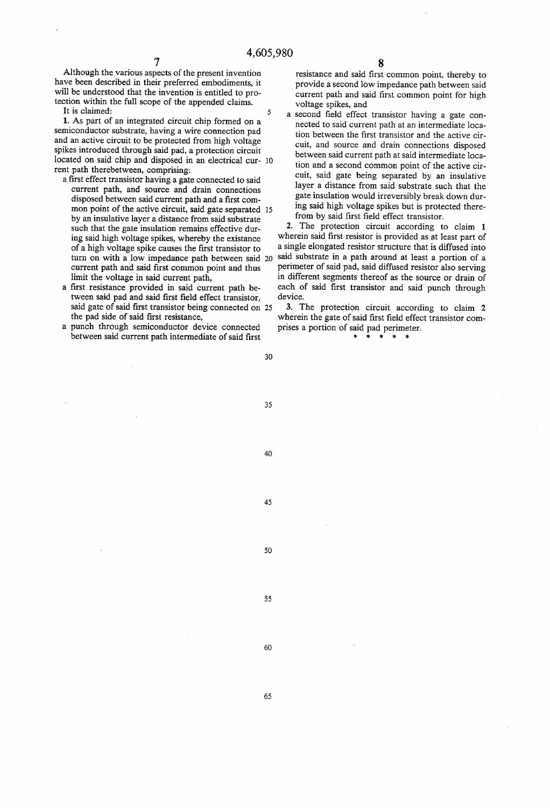$\overline{\phantom{a}}$ 

Although the various aspects of the present invention have been described in their preferred embodiments, it will be understood that the invention is entitled to pro tection within the full scope of the appended claims.

It is claimed:

1. As part of an integrated circuit chip formed on a semiconductor substrate, having a wire connection pad and an active circuit to be protected from high voltage spikes introduced through said pad, a protection circuit located on said chip and disposed in an electrical cur- 10 rent path therebetween, comprising:

- a first effect transistor having a gate connected to said current path, and source and drain connections disposed between said current path and a first common point of the active circuit, said gate separated 15 by an insulative layer a distance from said substrate such that the gate insulation remains effective dur ing said high voltage spikes, whereby the existance of a high voltage spike causes the first transistor to turn on with a low impedance path between said 20 current path and said first common point and thus
- limit the voltage in said current path,<br>a first resistance provided in said current path between said pad and said first field effect transistor, said gate of said first transistor being connected on 25 the pad side of said first resistance,
- a punch through semiconductor device connected between said current path intermediate of said first

resistance and said first common point, thereby to provide a second low impedance path between said current path and said first common point for high voltage spikes, and<br>a second field effect transistor having a gate con-

nected to said current path at an intermediate loca tion between the first transistor and the active circuit, and source and drain connections disposed between said current path at said intermediate loca tion and a second common point of the active cir cuit, said gate being separated by an insulative layer a distance from said substrate such that the gate insulation would irreversibly break down dur ing said high voltage spikes but is protected there from by said first field effect transistor.

2. The protection circuit according to claim 1 wherein said first resistor is provided as at least part of a single elongated resistor structure that is diffused into said substrate in a path around at least a portion of a perimeter of said pad, said diffused resistor also serving in different segments thereof as the source or drain of each of said first transistor and said punch through device.

3. The protection circuit according to claim 2 wherein the gate of said first field effect transistor comprises a portion of said pad perimeter.<br> $* * * * * * *$ 

30

35

40

45

50

55

60

65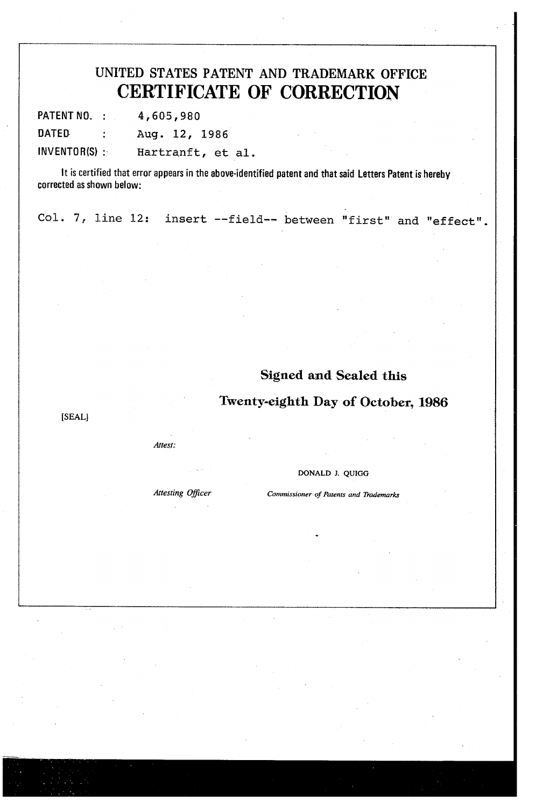# UNITED STATES PATENT AND TRADEMARK OFFICE **CERTIFICATE OF CORRECTION**

PATENT NO. : 4,605,980

**DATED**  $\ddot{\cdot}$ Aug. 12, 1986  $INVENTOR(S)$ : Hartranft, et al.

It is certified that error appears in the above-identified patent and that said Letters Patent is hereby corrected as shown below:

Col. 7, line 12: insert --field-- between "first" and "effect".

## Signed and Sealed this

## Twenty-eighth Day of October, 1986

[SEAL]

Attest:

DONALD J. QUIGG

**Attesting Officer** 

Commissioner of Patents and Trademarks